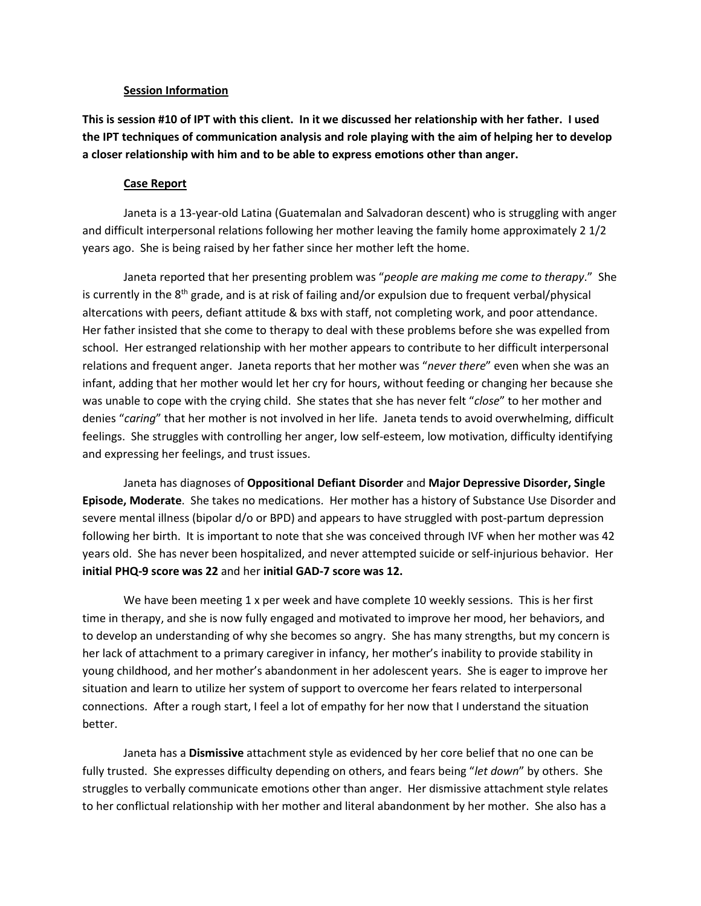## **Session Information**

**This is session #10 of IPT with this client. In it we discussed her relationship with her father. I used the IPT techniques of communication analysis and role playing with the aim of helping her to develop a closer relationship with him and to be able to express emotions other than anger.**

## **Case Report**

Janeta is a 13-year-old Latina (Guatemalan and Salvadoran descent) who is struggling with anger and difficult interpersonal relations following her mother leaving the family home approximately 2 1/2 years ago. She is being raised by her father since her mother left the home.

Janeta reported that her presenting problem was "*people are making me come to therapy*." She is currently in the  $8<sup>th</sup>$  grade, and is at risk of failing and/or expulsion due to frequent verbal/physical altercations with peers, defiant attitude & bxs with staff, not completing work, and poor attendance. Her father insisted that she come to therapy to deal with these problems before she was expelled from school. Her estranged relationship with her mother appears to contribute to her difficult interpersonal relations and frequent anger. Janeta reports that her mother was "*never there*" even when she was an infant, adding that her mother would let her cry for hours, without feeding or changing her because she was unable to cope with the crying child. She states that she has never felt "*close*" to her mother and denies "*caring*" that her mother is not involved in her life. Janeta tends to avoid overwhelming, difficult feelings. She struggles with controlling her anger, low self-esteem, low motivation, difficulty identifying and expressing her feelings, and trust issues.

Janeta has diagnoses of **Oppositional Defiant Disorder** and **Major Depressive Disorder, Single Episode, Moderate**. She takes no medications. Her mother has a history of Substance Use Disorder and severe mental illness (bipolar d/o or BPD) and appears to have struggled with post-partum depression following her birth. It is important to note that she was conceived through IVF when her mother was 42 years old. She has never been hospitalized, and never attempted suicide or self-injurious behavior. Her **initial PHQ-9 score was 22** and her **initial GAD-7 score was 12.**

We have been meeting 1 x per week and have complete 10 weekly sessions. This is her first time in therapy, and she is now fully engaged and motivated to improve her mood, her behaviors, and to develop an understanding of why she becomes so angry. She has many strengths, but my concern is her lack of attachment to a primary caregiver in infancy, her mother's inability to provide stability in young childhood, and her mother's abandonment in her adolescent years. She is eager to improve her situation and learn to utilize her system of support to overcome her fears related to interpersonal connections. After a rough start, I feel a lot of empathy for her now that I understand the situation better.

Janeta has a **Dismissive** attachment style as evidenced by her core belief that no one can be fully trusted. She expresses difficulty depending on others, and fears being "*let down*" by others. She struggles to verbally communicate emotions other than anger. Her dismissive attachment style relates to her conflictual relationship with her mother and literal abandonment by her mother. She also has a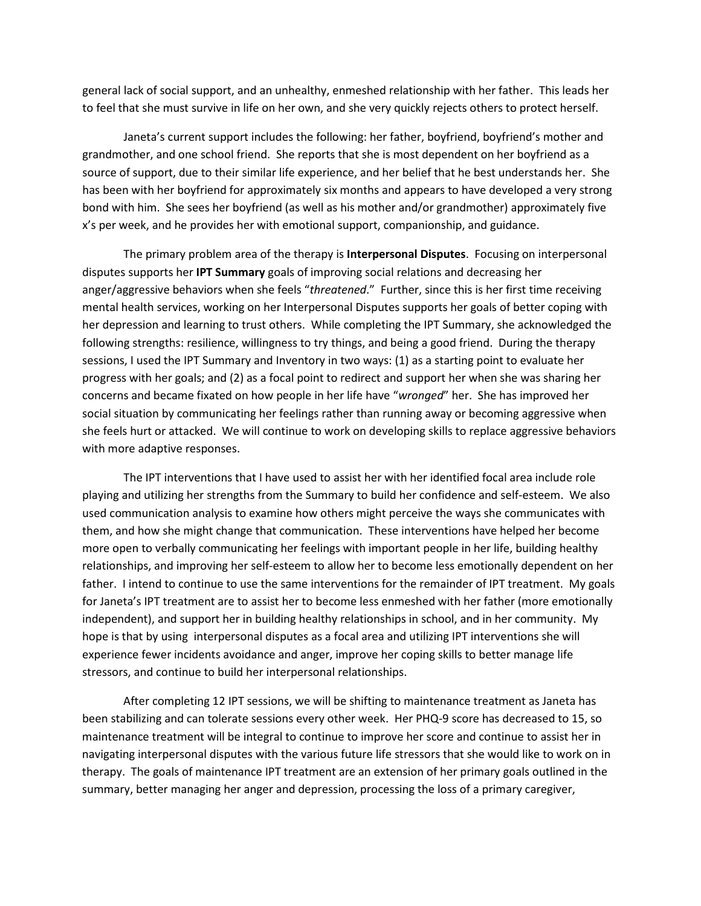general lack of social support, and an unhealthy, enmeshed relationship with her father. This leads her to feel that she must survive in life on her own, and she very quickly rejects others to protect herself.

Janeta's current support includes the following: her father, boyfriend, boyfriend's mother and grandmother, and one school friend. She reports that she is most dependent on her boyfriend as a source of support, due to their similar life experience, and her belief that he best understands her. She has been with her boyfriend for approximately six months and appears to have developed a very strong bond with him. She sees her boyfriend (as well as his mother and/or grandmother) approximately five x's per week, and he provides her with emotional support, companionship, and guidance.

The primary problem area of the therapy is **Interpersonal Disputes**. Focusing on interpersonal disputes supports her **IPT Summary** goals of improving social relations and decreasing her anger/aggressive behaviors when she feels "*threatened*." Further, since this is her first time receiving mental health services, working on her Interpersonal Disputes supports her goals of better coping with her depression and learning to trust others. While completing the IPT Summary, she acknowledged the following strengths: resilience, willingness to try things, and being a good friend. During the therapy sessions, I used the IPT Summary and Inventory in two ways: (1) as a starting point to evaluate her progress with her goals; and (2) as a focal point to redirect and support her when she was sharing her concerns and became fixated on how people in her life have "*wronged*" her. She has improved her social situation by communicating her feelings rather than running away or becoming aggressive when she feels hurt or attacked. We will continue to work on developing skills to replace aggressive behaviors with more adaptive responses.

The IPT interventions that I have used to assist her with her identified focal area include role playing and utilizing her strengths from the Summary to build her confidence and self-esteem. We also used communication analysis to examine how others might perceive the ways she communicates with them, and how she might change that communication. These interventions have helped her become more open to verbally communicating her feelings with important people in her life, building healthy relationships, and improving her self-esteem to allow her to become less emotionally dependent on her father. I intend to continue to use the same interventions for the remainder of IPT treatment. My goals for Janeta's IPT treatment are to assist her to become less enmeshed with her father (more emotionally independent), and support her in building healthy relationships in school, and in her community. My hope is that by using interpersonal disputes as a focal area and utilizing IPT interventions she will experience fewer incidents avoidance and anger, improve her coping skills to better manage life stressors, and continue to build her interpersonal relationships.

After completing 12 IPT sessions, we will be shifting to maintenance treatment as Janeta has been stabilizing and can tolerate sessions every other week. Her PHQ-9 score has decreased to 15, so maintenance treatment will be integral to continue to improve her score and continue to assist her in navigating interpersonal disputes with the various future life stressors that she would like to work on in therapy. The goals of maintenance IPT treatment are an extension of her primary goals outlined in the summary, better managing her anger and depression, processing the loss of a primary caregiver,